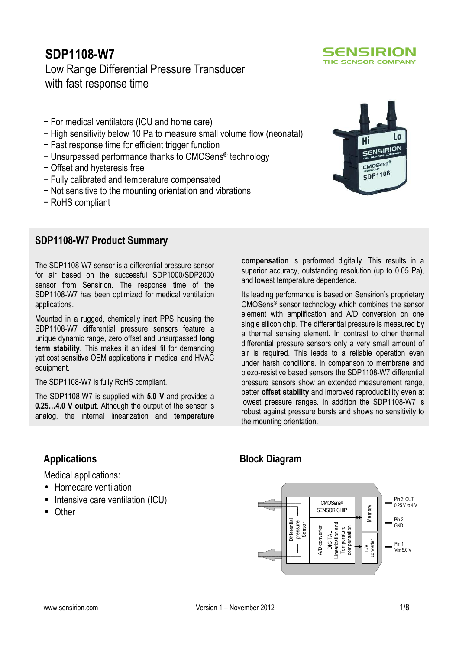# **SDP1108-W7** Low Range Differential Pressure Transducer with fast response time

- − For medical ventilators (ICU and home care)
- − High sensitivity below 10 Pa to measure small volume flow (neonatal)
- − Fast response time for efficient trigger function
- − Unsurpassed performance thanks to CMOSens® technology
- − Offset and hysteresis free
- − Fully calibrated and temperature compensated
- − Not sensitive to the mounting orientation and vibrations
- − RoHS compliant

## **SDP1108-W7 Product Summary**

The SDP1108-W7 sensor is a differential pressure sensor for air based on the successful SDP1000/SDP2000 sensor from Sensirion. The response time of the SDP1108-W7 has been optimized for medical ventilation applications.

Mounted in a rugged, chemically inert PPS housing the SDP1108-W7 differential pressure sensors feature a unique dynamic range, zero offset and unsurpassed **long term stability**. This makes it an ideal fit for demanding yet cost sensitive OEM applications in medical and HVAC equipment.

The SDP1108-W7 is fully RoHS compliant.

The SDP1108-W7 is supplied with **5.0 V** and provides a **0.25…4.0 V output**. Although the output of the sensor is analog, the internal linearization and **temperature** 

**Applications** 

Medical applications:

- Homecare ventilation
- Intensive care ventilation (ICU)
- Other

Its leading performance is based on Sensirion's proprietary CMOSens® sensor technology which combines the sensor element with amplification and A/D conversion on one

and lowest temperature dependence.

**compensation** is performed digitally. This results in a superior accuracy, outstanding resolution (up to 0.05 Pa),

single silicon chip. The differential pressure is measured by a thermal sensing element. In contrast to other thermal differential pressure sensors only a very small amount of air is required. This leads to a reliable operation even under harsh conditions. In comparison to membrane and piezo-resistive based sensors the SDP1108-W7 differential pressure sensors show an extended measurement range, better **offset stability** and improved reproducibility even at lowest pressure ranges. In addition the SDP1108-W7 is robust against pressure bursts and shows no sensitivity to the mounting orientation.

## **Block Diagram**





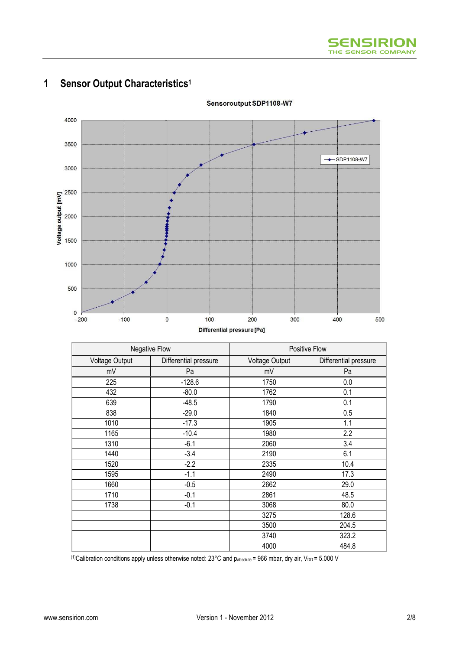

# **1 Sensor Output Characteristics<sup>1</sup>**

|                | Negative Flow         |                | Positive Flow         |  |  |
|----------------|-----------------------|----------------|-----------------------|--|--|
| Voltage Output | Differential pressure | Voltage Output | Differential pressure |  |  |
| mV             | Pa                    | mV             | Pa                    |  |  |
| 225            | $-128.6$              | 1750           | 0.0                   |  |  |
| 432            | $-80.0$               | 1762           | 0.1                   |  |  |
| 639            | $-48.5$               | 1790           | 0.1                   |  |  |
| 838            | $-29.0$               | 1840           | 0.5                   |  |  |
| 1010           | $-17.3$               | 1905           | 1.1                   |  |  |
| 1165           | $-10.4$               | 1980           | 2.2                   |  |  |
| 1310           | $-6.1$                |                | 3.4                   |  |  |
| 1440           | $-3.4$                | 2190           | 6.1                   |  |  |
| 1520           | $-2.2$                | 2335           | 10.4                  |  |  |
| 1595           | $-1.1$                | 2490           | 17.3                  |  |  |
| 1660           | $-0.5$                |                | 29.0                  |  |  |
| 1710           | $-0.1$                |                | 48.5                  |  |  |
| 1738           | $-0.1$                | 3068           | 80.0                  |  |  |
|                |                       | 3275           | 128.6                 |  |  |
|                |                       | 3500           | 204.5                 |  |  |
|                |                       | 3740           | 323.2                 |  |  |
|                |                       | 4000           | 484.8                 |  |  |

Sensoroutput SDP1108-W7

(1)Calibration conditions apply unless otherwise noted:  $23^{\circ}$ C and pabsolute = 966 mbar, dry air, V<sub>DD</sub> = 5.000 V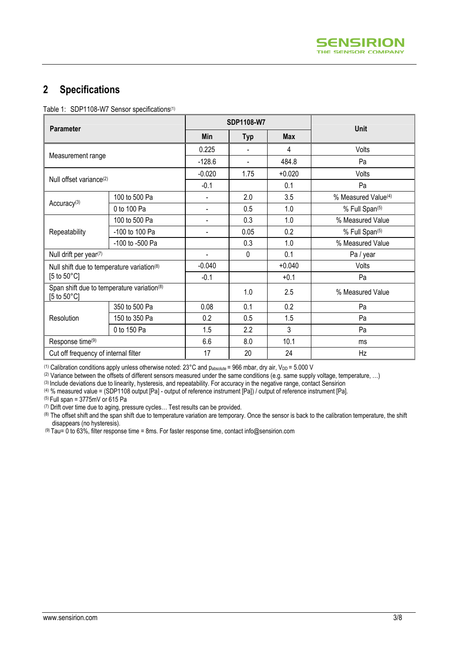## **2 Specifications**

Table 1: SDP1108-W7 Sensor specifications<sup>(1)</sup>

| <b>Parameter</b>                                                    |                   | SDP1108-W7 |                          | <b>Unit</b> |                                 |
|---------------------------------------------------------------------|-------------------|------------|--------------------------|-------------|---------------------------------|
|                                                                     |                   | <b>Min</b> | <b>Typ</b>               | <b>Max</b>  |                                 |
|                                                                     |                   | 0.225      | $\blacksquare$           | 4           | Volts                           |
|                                                                     | Measurement range |            | $\overline{\phantom{a}}$ | 484.8       | Pa                              |
| Null offset variance <sup>(2)</sup>                                 |                   | $-0.020$   | 1.75                     | $+0.020$    | Volts                           |
|                                                                     |                   | $-0.1$     |                          | 0.1         | Pa                              |
|                                                                     | 100 to 500 Pa     |            | 2.0                      | 3.5         | % Measured Value <sup>(4)</sup> |
| Accuracy <sup>(3)</sup>                                             | 0 to 100 Pa       |            | 0.5                      | 1.0         | % Full Span(5)                  |
|                                                                     | 100 to 500 Pa     | Ξ.         | 0.3                      | 1.0         | % Measured Value                |
| Repeatability                                                       | -100 to 100 Pa    |            | 0.05                     | 0.2         | % Full Span(5)                  |
| -100 to -500 Pa                                                     |                   |            | 0.3                      | 1.0         | % Measured Value                |
| Null drift per year(7)                                              |                   |            | 0                        | 0.1         | Pa / year                       |
| Null shift due to temperature variation(8)                          |                   | $-0.040$   |                          | $+0.040$    | Volts                           |
| [5 to $50^{\circ}$ C]                                               |                   | $-0.1$     |                          | $+0.1$      | Pa                              |
| Span shift due to temperature variation(8)<br>[5 to $50^{\circ}$ C] |                   |            | 1.0                      | 2.5         | % Measured Value                |
|                                                                     | 350 to 500 Pa     | 0.08       | 0.1                      | 0.2         | Pa                              |
| Resolution                                                          | 150 to 350 Pa     | 0.2        | 0.5                      | 1.5         | Pa                              |
| 0 to 150 Pa                                                         |                   | 1.5        | 2.2                      | 3           | Pa                              |
| Response time(9)                                                    |                   | 6.6        | 8.0                      | 10.1        | ms                              |
| Cut off frequency of internal filter                                |                   | 17         | 20                       | 24          | Hz                              |

(1) Calibration conditions apply unless otherwise noted:  $23^{\circ}$ C and  $p_{absolute}$  = 966 mbar, dry air,  $V_{DD}$  = 5.000 V

(2) Variance between the offsets of different sensors measured under the same conditions (e.g. same supply voltage, temperature, ...)

(3) Include deviations due to linearity, hysteresis, and repeatability. For accuracy in the negative range, contact Sensirion

(4) % measured value = (SDP1108 output [Pa] - output of reference instrument [Pa]) / output of reference instrument [Pa].

(5) Full span = 3775mV or 615 Pa

(7) Drift over time due to aging, pressure cycles… Test results can be provided.

(8) The offset shift and the span shift due to temperature variation are temporary. Once the sensor is back to the calibration temperature, the shift disappears (no hysteresis).

 $^{(9)}$  Tau= 0 to 63%, filter response time = 8ms. For faster response time, contact info@sensirion.com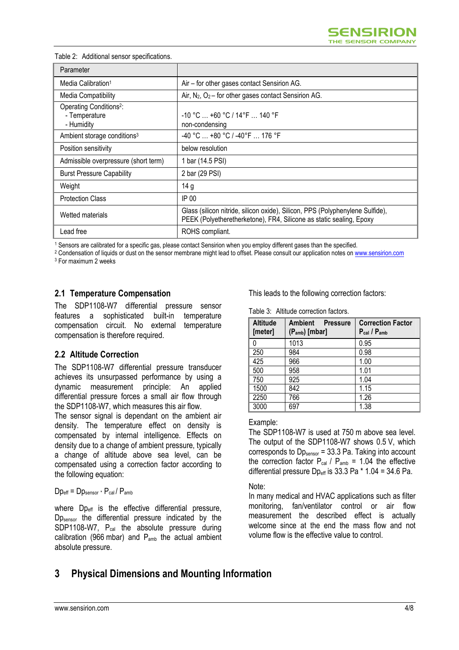| Parameter                                                          |                                                                                                                                                      |
|--------------------------------------------------------------------|------------------------------------------------------------------------------------------------------------------------------------------------------|
| Media Calibration <sup>1</sup>                                     | Air - for other gases contact Sensirion AG.                                                                                                          |
| Media Compatibility                                                | Air, $N_2$ , $O_2$ – for other gases contact Sensirion AG.                                                                                           |
| Operating Conditions <sup>2</sup> :<br>- Temperature<br>- Humidity | $-10$ °C $\ldots$ +60 °C / 14°F $\ldots$ 140 °F<br>non-condensing                                                                                    |
| Ambient storage conditions <sup>3</sup>                            | $-40$ °C $$ +80 °C / -40°F $$ 176 °F                                                                                                                 |
| Position sensitivity                                               | below resolution                                                                                                                                     |
| Admissible overpressure (short term)                               | 1 bar (14.5 PSI)                                                                                                                                     |
| <b>Burst Pressure Capability</b>                                   | 2 bar (29 PSI)                                                                                                                                       |
| Weight                                                             | 14 g                                                                                                                                                 |
| <b>Protection Class</b>                                            | IP 00                                                                                                                                                |
| Wetted materials                                                   | Glass (silicon nitride, silicon oxide), Silicon, PPS (Polyphenylene Sulfide),<br>PEEK (Polyetheretherketone), FR4, Silicone as static sealing, Epoxy |
| Lead free                                                          | ROHS compliant.                                                                                                                                      |

#### Table 2: Additional sensor specifications.

1 Sensors are calibrated for a specific gas, please contact Sensirion when you employ different gases than the specified.

<sup>2</sup> Condensation of liquids or dust on the sensor membrane might lead to offset. Please consult our application notes on <u>www.sensirion.com</u> 3 For maximum 2 weeks

#### **2.1 Temperature Compensation**

The SDP1108-W7 differential pressure sensor features a sophisticated built-in temperature compensation circuit. No external temperature compensation is therefore required.

#### **2.2 Altitude Correction**

The SDP1108-W7 differential pressure transducer achieves its unsurpassed performance by using a dynamic measurement principle: An applied differential pressure forces a small air flow through the SDP1108-W7, which measures this air flow.

The sensor signal is dependant on the ambient air density. The temperature effect on density is compensated by internal intelligence. Effects on density due to a change of ambient pressure, typically a change of altitude above sea level, can be compensated using a correction factor according to the following equation:

#### $Dp_{\text{eff}} = Dp_{\text{sensor}} \cdot P_{\text{cal}} / P_{\text{amb}}$

where  $Dp_{\text{eff}}$  is the effective differential pressure, Dp<sub>sensor</sub> the differential pressure indicated by the SDP1108-W7, P<sub>cal</sub> the absolute pressure during calibration (966 mbar) and  $P_{amb}$  the actual ambient absolute pressure.

This leads to the following correction factors:

Table 3: Altitude correction factors.

| <b>Altitude</b><br>[meter] | <b>Ambient</b><br><b>Pressure</b><br>$(P_{amb})$ [mbar] | <b>Correction Factor</b><br>$P_{cal}$ / $P_{amb}$ |
|----------------------------|---------------------------------------------------------|---------------------------------------------------|
|                            | 1013                                                    | 0.95                                              |
| 250                        | 984                                                     | 0.98                                              |
| 425                        | 966                                                     | 1.00                                              |
| 500                        | 958                                                     | 1.01                                              |
| 750                        | 925                                                     | 1.04                                              |
| 1500                       | 842                                                     | 1.15                                              |
| 2250                       | 766                                                     | 1.26                                              |
| 3000                       | 697                                                     | 1.38                                              |

Example:

The SDP1108-W7 is used at 750 m above sea level. The output of the SDP1108-W7 shows 0.5 V, which corresponds to  $D_{Sensor}$  = 33.3 Pa. Taking into account the correction factor  $P_{cal}$  /  $P_{amb}$  = 1.04 the effective differential pressure  $D_{\text{Per}}$  is 33.3 Pa  $*$  1.04 = 34.6 Pa.

Note:

In many medical and HVAC applications such as filter monitoring, fan/ventilator control or air flow measurement the described effect is actually welcome since at the end the mass flow and not volume flow is the effective value to control.

## **3 Physical Dimensions and Mounting Information**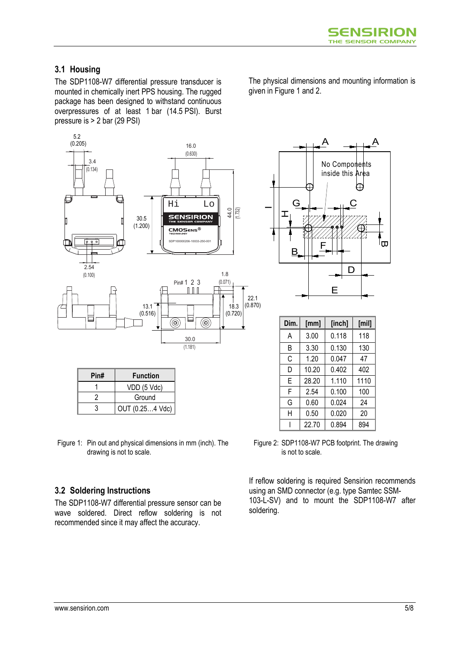### **3.1 Housing**

The SDP1108-W7 differential pressure transducer is mounted in chemically inert PPS housing. The rugged package has been designed to withstand continuous overpressures of at least 1 bar (14.5 PSI). Burst pressure is > 2 bar (29 PSI)



| Pin# | <b>Function</b> |
|------|-----------------|
|      | VDD (5 Vdc)     |
|      | Ground          |
|      | OUT (0.254 Vdc) |

Figure 1: Pin out and physical dimensions in mm (inch). The drawing is not to scale.

### **3.2 Soldering Instructions**

The SDP1108-W7 differential pressure sensor can be wave soldered. Direct reflow soldering is not recommended since it may affect the accuracy.

The physical dimensions and mounting information is given in Figure 1 and 2.



| Dim. | [inch]<br>[mm] |       | [min] |
|------|----------------|-------|-------|
| A    | 0.118<br>3.00  |       | 118   |
| B    | 3.30           | 0.130 | 130   |
| С    | 1.20           | 0.047 | 47    |
| D    | 10.20          | 0.402 | 402   |
| F    | 28.20          | 1.110 | 1110  |
| F    | 2.54           | 0.100 | 100   |
| G    | 0.60           | 0.024 | 24    |
| Н    | 0.50           | 0.020 | 20    |
|      | 22.70          | 0.894 | 894   |

Figure 2: SDP1108-W7 PCB footprint. The drawing is not to scale.

If reflow soldering is required Sensirion recommends using an SMD connector (e.g. type Samtec SSM-103-L-SV) and to mount the SDP1108-W7 after soldering.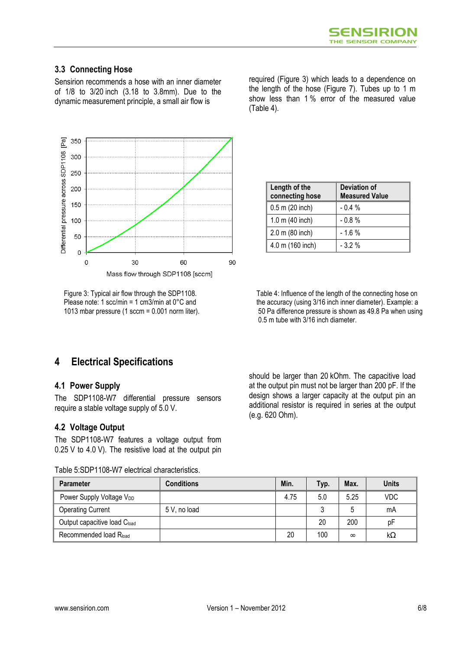### **3.3 Connecting Hose**

Sensirion recommends a hose with an inner diameter of 1/8 to 3/20 inch (3.18 to 3.8mm). Due to the dynamic measurement principle, a small air flow is



Figure 3: Typical air flow through the SDP1108. Please note: 1 scc/min = 1 cm3/min at 0°C and 1013 mbar pressure (1 sccm = 0.001 norm liter).

required (Figure 3) which leads to a dependence on the length of the hose (Figure 7). Tubes up to 1 m show less than 1 % error of the measured value (Table 4).

| Length of the<br>connecting hose | Deviation of<br><b>Measured Value</b> |  |
|----------------------------------|---------------------------------------|--|
| $0.5$ m (20 inch)                | $-0.4%$                               |  |
| 1.0 m (40 inch)                  | $-0.8%$                               |  |
| 2.0 m (80 inch)                  | $-1.6%$                               |  |
| 4.0 m (160 inch)                 | $-3.2%$                               |  |

Table 4: Influence of the length of the connecting hose on the accuracy (using 3/16 inch inner diameter). Example: a 50 Pa difference pressure is shown as 49.8 Pa when using 0.5 m tube with 3/16 inch diameter.

## **4 Electrical Specifications**

### **4.1 Power Supply**

The SDP1108-W7 differential pressure sensors require a stable voltage supply of 5.0 V.

### **4.2 Voltage Output**

The SDP1108-W7 features a voltage output from 0.25 V to 4.0 V). The resistive load at the output pin

Table 5:SDP1108-W7 electrical characteristics.

should be larger than 20 kOhm. The capacitive load at the output pin must not be larger than 200 pF. If the design shows a larger capacity at the output pin an additional resistor is required in series at the output (e.g. 620 Ohm).

| <b>Parameter</b>                         | <b>Conditions</b> | Min. | Typ. | Max.     | <b>Units</b> |
|------------------------------------------|-------------------|------|------|----------|--------------|
| Power Supply Voltage V <sub>DD</sub>     |                   | 4.75 | 5.0  | 5.25     | VDC          |
| <b>Operating Current</b>                 | 5 V, no load      |      |      |          | mA           |
| Output capacitive load C <sub>load</sub> |                   |      | 20   | 200      | рF           |
| Recommended load Rload                   |                   | 20   | 100  | $\infty$ | kΩ           |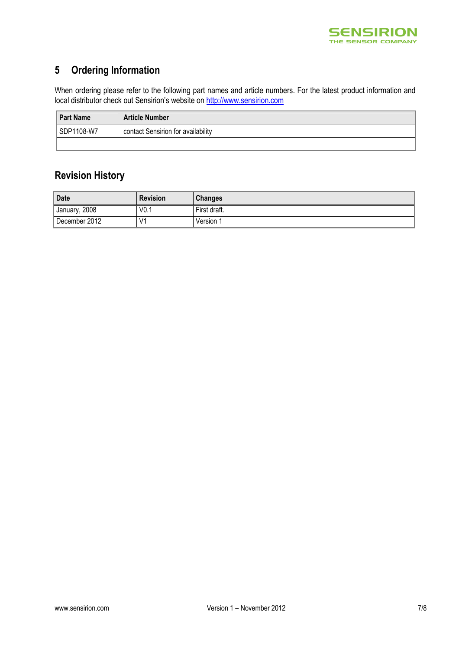## **5 Ordering Information**

When ordering please refer to the following part names and article numbers. For the latest product information and local distributor check out Sensirion's website on <u>http://www.sensirion.com</u>

| <b>Part Name</b> | <b>Article Number</b>              |  |
|------------------|------------------------------------|--|
| SDP1108-W7       | contact Sensirion for availability |  |
|                  |                                    |  |

# **Revision History**

| <b>Date</b>   | <b>Revision</b>  | <b>Changes</b> |
|---------------|------------------|----------------|
| January, 2008 | V <sub>0.1</sub> | First draft.   |
| December 2012 | V <sub>1</sub>   | Version 1      |